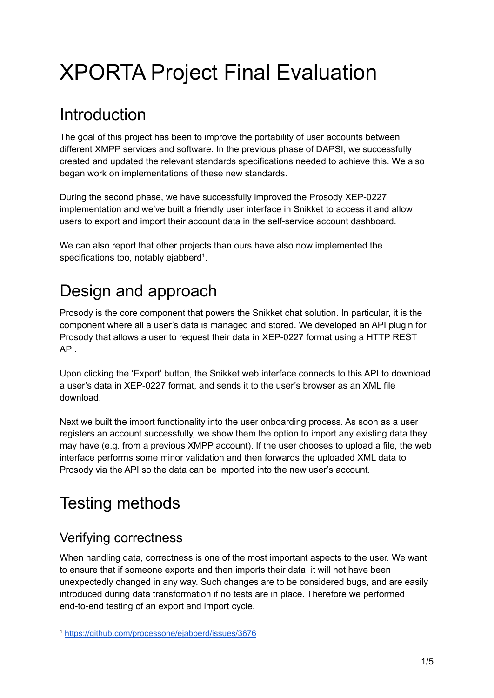# XPORTA Project Final Evaluation

# **Introduction**

The goal of this project has been to improve the portability of user accounts between different XMPP services and software. In the previous phase of DAPSI, we successfully created and updated the relevant standards specifications needed to achieve this. We also began work on implementations of these new standards.

During the second phase, we have successfully improved the Prosody XEP-0227 implementation and we've built a friendly user interface in Snikket to access it and allow users to export and import their account data in the self-service account dashboard.

We can also report that other projects than ours have also now implemented the specifications too, notably ejabberd<sup>1</sup>.

# Design and approach

Prosody is the core component that powers the Snikket chat solution. In particular, it is the component where all a user's data is managed and stored. We developed an API plugin for Prosody that allows a user to request their data in XEP-0227 format using a HTTP REST API.

Upon clicking the 'Export' button, the Snikket web interface connects to this API to download a user's data in XEP-0227 format, and sends it to the user's browser as an XML file download.

Next we built the import functionality into the user onboarding process. As soon as a user registers an account successfully, we show them the option to import any existing data they may have (e.g. from a previous XMPP account). If the user chooses to upload a file, the web interface performs some minor validation and then forwards the uploaded XML data to Prosody via the API so the data can be imported into the new user's account.

# Testing methods

### Verifying correctness

When handling data, correctness is one of the most important aspects to the user. We want to ensure that if someone exports and then imports their data, it will not have been unexpectedly changed in any way. Such changes are to be considered bugs, and are easily introduced during data transformation if no tests are in place. Therefore we performed end-to-end testing of an export and import cycle.

<sup>1</sup> <https://github.com/processone/ejabberd/issues/3676>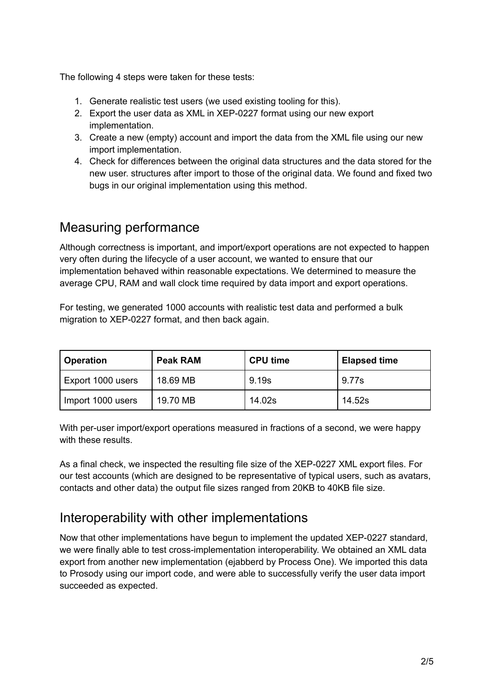The following 4 steps were taken for these tests:

- 1. Generate realistic test users (we used existing tooling for this).
- 2. Export the user data as XML in XEP-0227 format using our new export implementation.
- 3. Create a new (empty) account and import the data from the XML file using our new import implementation.
- 4. Check for differences between the original data structures and the data stored for the new user. structures after import to those of the original data. We found and fixed two bugs in our original implementation using this method.

#### Measuring performance

Although correctness is important, and import/export operations are not expected to happen very often during the lifecycle of a user account, we wanted to ensure that our implementation behaved within reasonable expectations. We determined to measure the average CPU, RAM and wall clock time required by data import and export operations.

For testing, we generated 1000 accounts with realistic test data and performed a bulk migration to XEP-0227 format, and then back again.

| <b>Operation</b>  | <b>Peak RAM</b> | <b>CPU time</b> | <b>Elapsed time</b> |
|-------------------|-----------------|-----------------|---------------------|
| Export 1000 users | 18.69 MB        | 9.19s           | 9.77s               |
| Import 1000 users | 19.70 MB        | 14.02s          | 14.52s              |

With per-user import/export operations measured in fractions of a second, we were happy with these results.

As a final check, we inspected the resulting file size of the XEP-0227 XML export files. For our test accounts (which are designed to be representative of typical users, such as avatars, contacts and other data) the output file sizes ranged from 20KB to 40KB file size.

#### Interoperability with other implementations

Now that other implementations have begun to implement the updated XEP-0227 standard, we were finally able to test cross-implementation interoperability. We obtained an XML data export from another new implementation (ejabberd by Process One). We imported this data to Prosody using our import code, and were able to successfully verify the user data import succeeded as expected.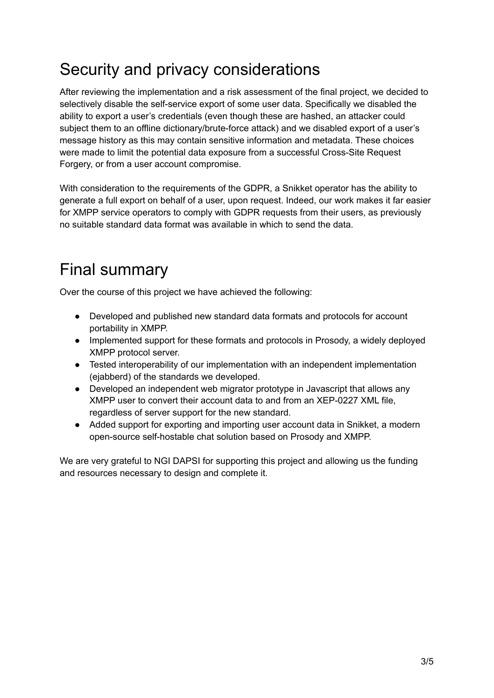# Security and privacy considerations

After reviewing the implementation and a risk assessment of the final project, we decided to selectively disable the self-service export of some user data. Specifically we disabled the ability to export a user's credentials (even though these are hashed, an attacker could subject them to an offline dictionary/brute-force attack) and we disabled export of a user's message history as this may contain sensitive information and metadata. These choices were made to limit the potential data exposure from a successful Cross-Site Request Forgery, or from a user account compromise.

With consideration to the requirements of the GDPR, a Snikket operator has the ability to generate a full export on behalf of a user, upon request. Indeed, our work makes it far easier for XMPP service operators to comply with GDPR requests from their users, as previously no suitable standard data format was available in which to send the data.

# Final summary

Over the course of this project we have achieved the following:

- Developed and published new standard data formats and protocols for account portability in XMPP.
- Implemented support for these formats and protocols in Prosody, a widely deployed XMPP protocol server.
- Tested interoperability of our implementation with an independent implementation (ejabberd) of the standards we developed.
- Developed an independent web migrator prototype in Javascript that allows any XMPP user to convert their account data to and from an XEP-0227 XML file, regardless of server support for the new standard.
- Added support for exporting and importing user account data in Snikket, a modern open-source self-hostable chat solution based on Prosody and XMPP.

We are very grateful to NGI DAPSI for supporting this project and allowing us the funding and resources necessary to design and complete it.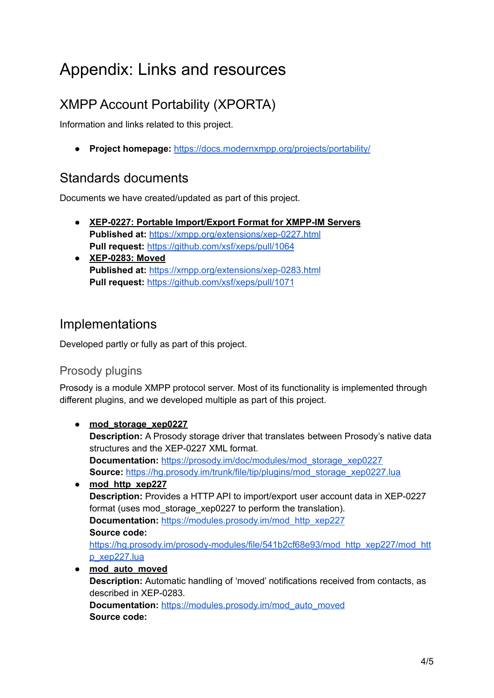# Appendix: Links and resources

### XMPP Account Portability (XPORTA)

Information and links related to this project.

● **Project homepage:** <https://docs.modernxmpp.org/projects/portability/>

#### Standards documents

Documents we have created/updated as part of this project.

- **XEP-0227: Portable Import/Export Format for XMPP-IM Servers Published at:** <https://xmpp.org/extensions/xep-0227.html> **Pull request:** <https://github.com/xsf/xeps/pull/1064>
- **● XEP-0283: Moved Published at:** <https://xmpp.org/extensions/xep-0283.html> **Pull request:** <https://github.com/xsf/xeps/pull/1071>

### Implementations

Developed partly or fully as part of this project.

#### Prosody plugins

Prosody is a module XMPP protocol server. Most of its functionality is implemented through different plugins, and we developed multiple as part of this project.

● **mod\_storage\_xep0227 Description:** A Prosody storage driver that translates between Prosody's native data structures and the XEP-0227 XML format. **Documentation:** [https://prosody.im/doc/modules/mod\\_storage\\_xep0227](https://prosody.im/doc/modules/mod_storage_xep0227) **Source:** [https://hg.prosody.im/trunk/file/tip/plugins/mod\\_storage\\_xep0227.lua](https://hg.prosody.im/trunk/file/tip/plugins/mod_storage_xep0227.lua) **● mod\_http\_xep227 Description:** Provides a HTTP API to import/export user account data in XEP-0227 format (uses mod storage xep0227 to perform the translation). **Documentation:** [https://modules.prosody.im/mod\\_http\\_xep227](https://modules.prosody.im/mod_http_xep227) **Source code:** [https://hg.prosody.im/prosody-modules/file/541b2cf68e93/mod\\_http\\_xep227/mod\\_htt](https://hg.prosody.im/prosody-modules/file/541b2cf68e93/mod_http_xep227/mod_http_xep227.lua) [p\\_xep227.lua](https://hg.prosody.im/prosody-modules/file/541b2cf68e93/mod_http_xep227/mod_http_xep227.lua) **● mod\_auto\_moved Description:** Automatic handling of 'moved' notifications received from contacts, as described in XEP-0283. **Documentation:** [https://modules.prosody.im/mod\\_auto\\_moved](https://modules.prosody.im/mod_auto_moved) **Source code:**